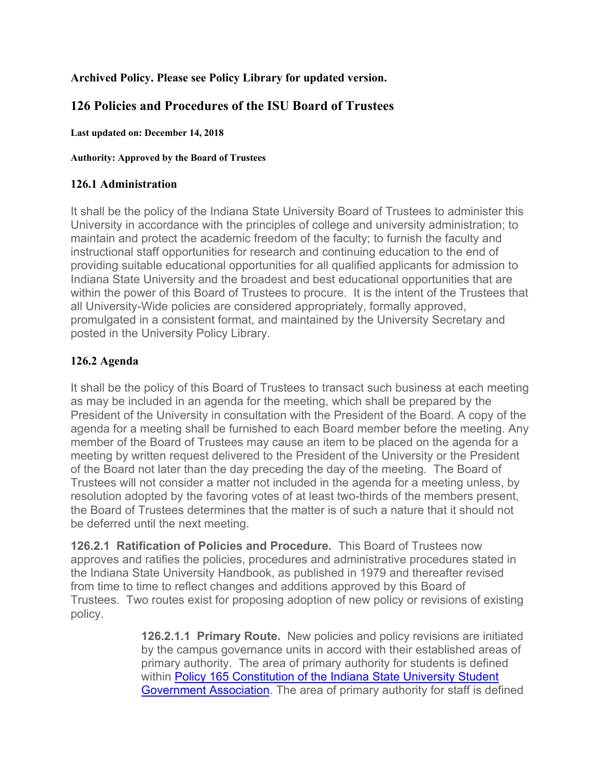# **Archived Policy. Please see Policy Library for updated version.**

# **126 Policies and Procedures of the ISU Board of Trustees**

**Last updated on: December 14, 2018** 

#### **Authority: Approved by the Board of Trustees**

### **126.1 Administration**

It shall be the policy of the Indiana State University Board of Trustees to administer this University in accordance with the principles of college and university administration; to maintain and protect the academic freedom of the faculty; to furnish the faculty and instructional staff opportunities for research and continuing education to the end of providing suitable educational opportunities for all qualified applicants for admission to Indiana State University and the broadest and best educational opportunities that are within the power of this Board of Trustees to procure. It is the intent of the Trustees that all University-Wide policies are considered appropriately, formally approved, promulgated in a consistent format, and maintained by the University Secretary and posted in the University Policy Library.

# **126.2 Agenda**

It shall be the policy of this Board of Trustees to transact such business at each meeting as may be included in an agenda for the meeting, which shall be prepared by the President of the University in consultation with the President of the Board. A copy of the agenda for a meeting shall be furnished to each Board member before the meeting. Any member of the Board of Trustees may cause an item to be placed on the agenda for a meeting by written request delivered to the President of the University or the President of the Board not later than the day preceding the day of the meeting. The Board of Trustees will not consider a matter not included in the agenda for a meeting unless, by resolution adopted by the favoring votes of at least two-thirds of the members present, the Board of Trustees determines that the matter is of such a nature that it should not be deferred until the next meeting.

**126.2.1 Ratification of Policies and Procedure.** This Board of Trustees now approves and ratifies the policies, procedures and administrative procedures stated in the Indiana State University Handbook, as published in 1979 and thereafter revised from time to time to reflect changes and additions approved by this Board of Trustees. Two routes exist for proposing adoption of new policy or revisions of existing policy.

> **126.2.1.1 Primary Route.** New policies and policy revisions are initiated by the campus governance units in accord with their established areas of primary authority. The area of primary authority for students is defined within Policy 165 Constitution of the Indiana State University Student Government Association. The area of primary authority for staff is defined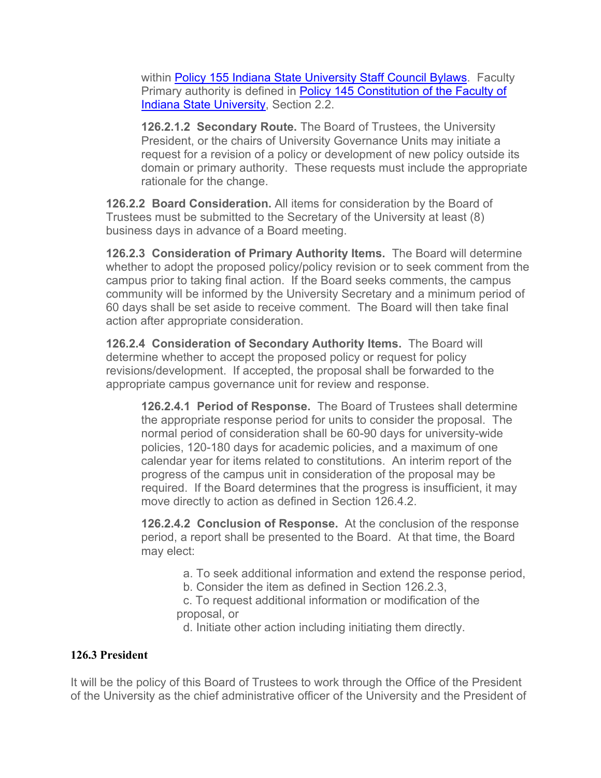within Policy 155 Indiana State University Staff Council Bylaws. Faculty Primary authority is defined in Policy 145 Constitution of the Faculty of Indiana State University, Section 2.2.

**126.2.1.2 Secondary Route.** The Board of Trustees, the University President, or the chairs of University Governance Units may initiate a request for a revision of a policy or development of new policy outside its domain or primary authority. These requests must include the appropriate rationale for the change.

**126.2.2 Board Consideration.** All items for consideration by the Board of Trustees must be submitted to the Secretary of the University at least (8) business days in advance of a Board meeting.

**126.2.3 Consideration of Primary Authority Items.** The Board will determine whether to adopt the proposed policy/policy revision or to seek comment from the campus prior to taking final action. If the Board seeks comments, the campus community will be informed by the University Secretary and a minimum period of 60 days shall be set aside to receive comment. The Board will then take final action after appropriate consideration.

**126.2.4 Consideration of Secondary Authority Items.** The Board will determine whether to accept the proposed policy or request for policy revisions/development. If accepted, the proposal shall be forwarded to the appropriate campus governance unit for review and response.

**126.2.4.1 Period of Response.** The Board of Trustees shall determine the appropriate response period for units to consider the proposal. The normal period of consideration shall be 60-90 days for university-wide policies, 120-180 days for academic policies, and a maximum of one calendar year for items related to constitutions. An interim report of the progress of the campus unit in consideration of the proposal may be required. If the Board determines that the progress is insufficient, it may move directly to action as defined in Section 126.4.2.

**126.2.4.2 Conclusion of Response.** At the conclusion of the response period, a report shall be presented to the Board. At that time, the Board may elect:

- a. To seek additional information and extend the response period,
- b. Consider the item as defined in Section 126.2.3,

 c. To request additional information or modification of the proposal, or

d. Initiate other action including initiating them directly.

### **126.3 President**

It will be the policy of this Board of Trustees to work through the Office of the President of the University as the chief administrative officer of the University and the President of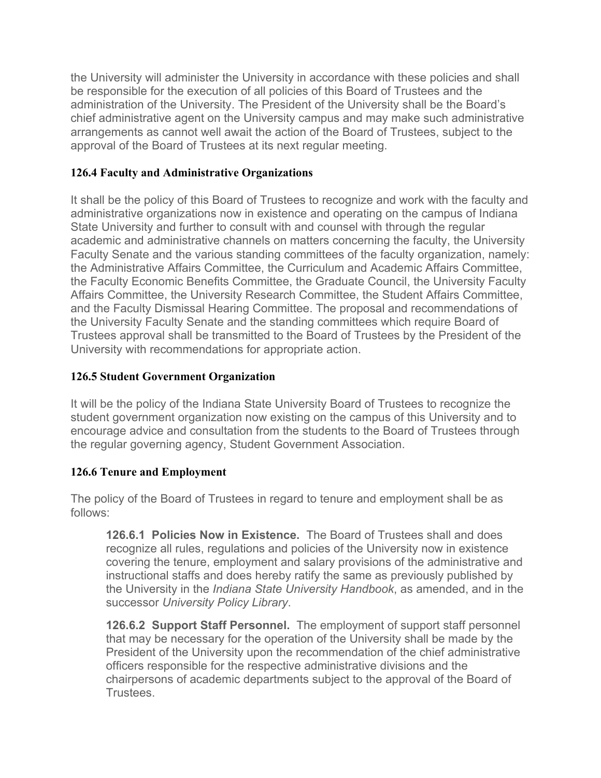the University will administer the University in accordance with these policies and shall be responsible for the execution of all policies of this Board of Trustees and the administration of the University. The President of the University shall be the Board's chief administrative agent on the University campus and may make such administrative arrangements as cannot well await the action of the Board of Trustees, subject to the approval of the Board of Trustees at its next regular meeting.

### **126.4 Faculty and Administrative Organizations**

It shall be the policy of this Board of Trustees to recognize and work with the faculty and administrative organizations now in existence and operating on the campus of Indiana State University and further to consult with and counsel with through the regular academic and administrative channels on matters concerning the faculty, the University Faculty Senate and the various standing committees of the faculty organization, namely: the Administrative Affairs Committee, the Curriculum and Academic Affairs Committee, the Faculty Economic Benefits Committee, the Graduate Council, the University Faculty Affairs Committee, the University Research Committee, the Student Affairs Committee, and the Faculty Dismissal Hearing Committee. The proposal and recommendations of the University Faculty Senate and the standing committees which require Board of Trustees approval shall be transmitted to the Board of Trustees by the President of the University with recommendations for appropriate action.

### **126.5 Student Government Organization**

It will be the policy of the Indiana State University Board of Trustees to recognize the student government organization now existing on the campus of this University and to encourage advice and consultation from the students to the Board of Trustees through the regular governing agency, Student Government Association.

### **126.6 Tenure and Employment**

The policy of the Board of Trustees in regard to tenure and employment shall be as follows:

**126.6.1 Policies Now in Existence.** The Board of Trustees shall and does recognize all rules, regulations and policies of the University now in existence covering the tenure, employment and salary provisions of the administrative and instructional staffs and does hereby ratify the same as previously published by the University in the *Indiana State University Handbook*, as amended, and in the successor *University Policy Library*.

**126.6.2 Support Staff Personnel.** The employment of support staff personnel that may be necessary for the operation of the University shall be made by the President of the University upon the recommendation of the chief administrative officers responsible for the respective administrative divisions and the chairpersons of academic departments subject to the approval of the Board of Trustees.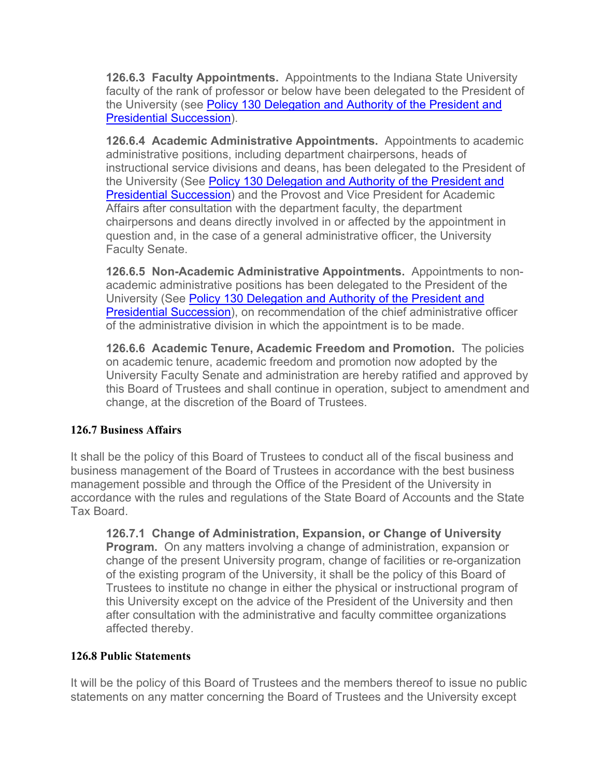**126.6.3 Faculty Appointments.** Appointments to the Indiana State University faculty of the rank of professor or below have been delegated to the President of the University (see Policy 130 Delegation and Authority of the President and Presidential Succession).

**126.6.4 Academic Administrative Appointments.** Appointments to academic administrative positions, including department chairpersons, heads of instructional service divisions and deans, has been delegated to the President of the University (See Policy 130 Delegation and Authority of the President and Presidential Succession) and the Provost and Vice President for Academic Affairs after consultation with the department faculty, the department chairpersons and deans directly involved in or affected by the appointment in question and, in the case of a general administrative officer, the University Faculty Senate.

**126.6.5 Non-Academic Administrative Appointments.** Appointments to nonacademic administrative positions has been delegated to the President of the University (See Policy 130 Delegation and Authority of the President and Presidential Succession), on recommendation of the chief administrative officer of the administrative division in which the appointment is to be made.

**126.6.6 Academic Tenure, Academic Freedom and Promotion.** The policies on academic tenure, academic freedom and promotion now adopted by the University Faculty Senate and administration are hereby ratified and approved by this Board of Trustees and shall continue in operation, subject to amendment and change, at the discretion of the Board of Trustees.

# **126.7 Business Affairs**

It shall be the policy of this Board of Trustees to conduct all of the fiscal business and business management of the Board of Trustees in accordance with the best business management possible and through the Office of the President of the University in accordance with the rules and regulations of the State Board of Accounts and the State Tax Board.

**126.7.1 Change of Administration, Expansion, or Change of University Program.** On any matters involving a change of administration, expansion or change of the present University program, change of facilities or re-organization of the existing program of the University, it shall be the policy of this Board of Trustees to institute no change in either the physical or instructional program of this University except on the advice of the President of the University and then after consultation with the administrative and faculty committee organizations affected thereby.

### **126.8 Public Statements**

It will be the policy of this Board of Trustees and the members thereof to issue no public statements on any matter concerning the Board of Trustees and the University except